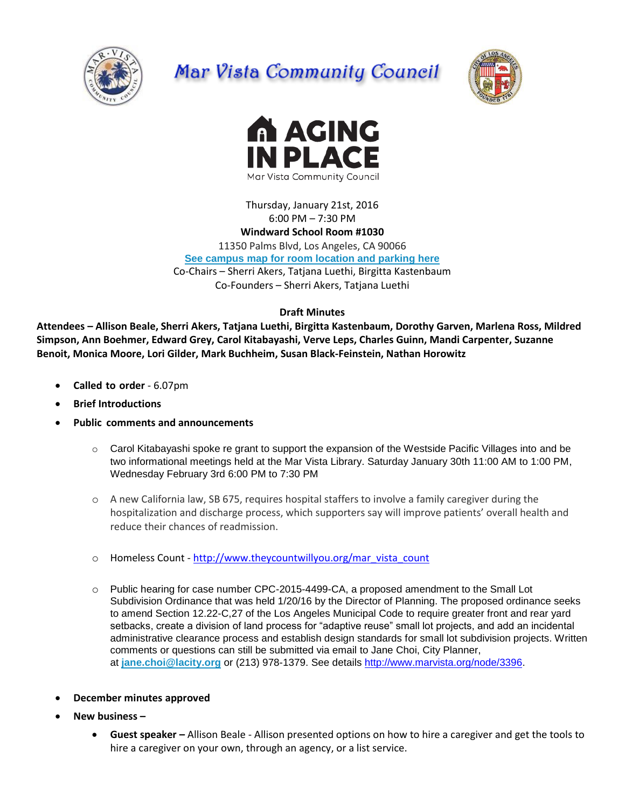

# Mar Vista Community Council





Thursday, January 21st, 2016 6:00 PM – 7:30 PM

## **Windward School Room #1030**

11350 Palms Blvd, Los Angeles, CA 90066

**[See campus map for room location and parking here](https://windwardschool.myschoolapp.com/ftpimages/176/download/download_1671327.pdf)**

Co-Chairs – Sherri Akers, Tatjana Luethi, Birgitta Kastenbaum

Co-Founders – Sherri Akers, Tatjana Luethi

#### **Draft Minutes**

**Attendees – Allison Beale, Sherri Akers, Tatjana Luethi, Birgitta Kastenbaum, Dorothy Garven, Marlena Ross, Mildred Simpson, Ann Boehmer, Edward Grey, Carol Kitabayashi, Verve Leps, Charles Guinn, Mandi Carpenter, Suzanne Benoit, Monica Moore, Lori Gilder, Mark Buchheim, Susan Black-Feinstein, Nathan Horowitz**

- **Called to order**  6.07pm
- **Brief Introductions**
- **Public comments and announcements**
	- o Carol Kitabayashi spoke re grant to support the expansion of the Westside Pacific Villages into and be two informational meetings held at the Mar Vista Library. Saturday January 30th 11:00 AM to 1:00 PM, Wednesday February 3rd 6:00 PM to 7:30 PM
	- o A new California law, SB 675, requires hospital staffers to involve a family caregiver during the hospitalization and discharge process, which supporters say will improve patients' overall health and reduce their chances of readmission.
	- o Homeless Count [http://www.theycountwillyou.org/mar\\_vista\\_count](http://www.theycountwillyou.org/mar_vista_count)
	- o Public hearing for case number CPC-2015-4499-CA, a proposed amendment to the Small Lot Subdivision Ordinance that was held 1/20/16 by the Director of Planning. The proposed ordinance seeks to amend Section 12.22-C,27 of the Los Angeles Municipal Code to require greater front and rear yard setbacks, create a division of land process for "adaptive reuse" small lot projects, and add an incidental administrative clearance process and establish design standards for small lot subdivision projects. Written comments or questions can still be submitted via email to Jane Choi, City Planner, at **[jane.choi@lacity.org](mailto:jane.choi@lacity.org)** or (213) 978-1379. See details [http://www.marvista.org/node/3396.](http://www.marvista.org/node/3396)
- **December minutes approved**
- **New business –**
	- **Guest speaker –** Allison Beale Allison presented options on how to hire a caregiver and get the tools to hire a caregiver on your own, through an agency, or a list service.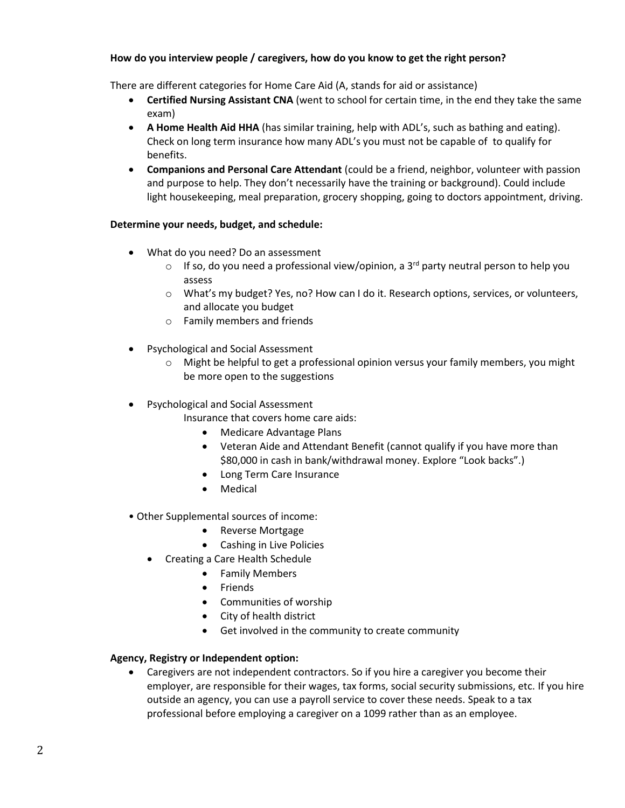### **How do you interview people / caregivers, how do you know to get the right person?**

There are different categories for Home Care Aid (A, stands for aid or assistance)

- **Certified Nursing Assistant CNA** (went to school for certain time, in the end they take the same exam)
- **A Home Health Aid HHA** (has similar training, help with ADL's, such as bathing and eating). Check on long term insurance how many ADL's you must not be capable of to qualify for benefits.
- **Companions and Personal Care Attendant** (could be a friend, neighbor, volunteer with passion and purpose to help. They don't necessarily have the training or background). Could include light housekeeping, meal preparation, grocery shopping, going to doctors appointment, driving.

## **Determine your needs, budget, and schedule:**

- What do you need? Do an assessment
	- $\circ$  If so, do you need a professional view/opinion, a 3<sup>rd</sup> party neutral person to help you assess
	- o What's my budget? Yes, no? How can I do it. Research options, services, or volunteers, and allocate you budget
	- o Family members and friends
- Psychological and Social Assessment
	- $\circ$  Might be helpful to get a professional opinion versus your family members, you might be more open to the suggestions
- Psychological and Social Assessment
	- Insurance that covers home care aids:
		- Medicare Advantage Plans
		- Veteran Aide and Attendant Benefit (cannot qualify if you have more than \$80,000 in cash in bank/withdrawal money. Explore "Look backs".)
		- Long Term Care Insurance
		- Medical
- Other Supplemental sources of income:
	- Reverse Mortgage
	- Cashing in Live Policies
	- Creating a Care Health Schedule
		- Family Members
		- Friends
		- Communities of worship
		- City of health district
		- Get involved in the community to create community

#### **Agency, Registry or Independent option:**

• Caregivers are not independent contractors. So if you hire a caregiver you become their employer, are responsible for their wages, tax forms, social security submissions, etc. If you hire outside an agency, you can use a payroll service to cover these needs. Speak to a tax professional before employing a caregiver on a 1099 rather than as an employee.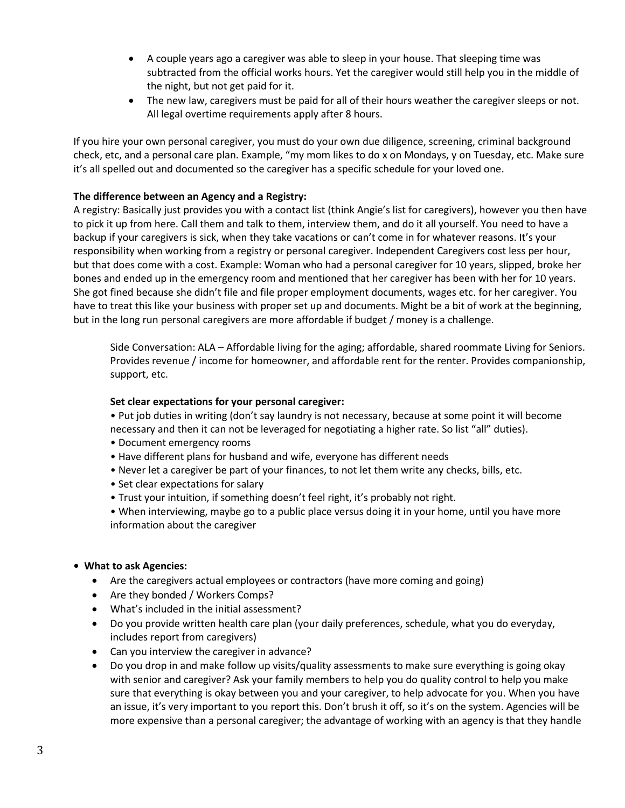- A couple years ago a caregiver was able to sleep in your house. That sleeping time was subtracted from the official works hours. Yet the caregiver would still help you in the middle of the night, but not get paid for it.
- The new law, caregivers must be paid for all of their hours weather the caregiver sleeps or not. All legal overtime requirements apply after 8 hours.

If you hire your own personal caregiver, you must do your own due diligence, screening, criminal background check, etc, and a personal care plan. Example, "my mom likes to do x on Mondays, y on Tuesday, etc. Make sure it's all spelled out and documented so the caregiver has a specific schedule for your loved one.

## **The difference between an Agency and a Registry:**

A registry: Basically just provides you with a contact list (think Angie's list for caregivers), however you then have to pick it up from here. Call them and talk to them, interview them, and do it all yourself. You need to have a backup if your caregivers is sick, when they take vacations or can't come in for whatever reasons. It's your responsibility when working from a registry or personal caregiver. Independent Caregivers cost less per hour, but that does come with a cost. Example: Woman who had a personal caregiver for 10 years, slipped, broke her bones and ended up in the emergency room and mentioned that her caregiver has been with her for 10 years. She got fined because she didn't file and file proper employment documents, wages etc. for her caregiver. You have to treat this like your business with proper set up and documents. Might be a bit of work at the beginning, but in the long run personal caregivers are more affordable if budget / money is a challenge.

Side Conversation: ALA – Affordable living for the aging; affordable, shared roommate Living for Seniors. Provides revenue / income for homeowner, and affordable rent for the renter. Provides companionship, support, etc.

#### **Set clear expectations for your personal caregiver:**

• Put job duties in writing (don't say laundry is not necessary, because at some point it will become necessary and then it can not be leveraged for negotiating a higher rate. So list "all" duties).

- Document emergency rooms
- Have different plans for husband and wife, everyone has different needs
- Never let a caregiver be part of your finances, to not let them write any checks, bills, etc.
- Set clear expectations for salary
- Trust your intuition, if something doesn't feel right, it's probably not right.
- When interviewing, maybe go to a public place versus doing it in your home, until you have more information about the caregiver
- **What to ask Agencies:**
	- Are the caregivers actual employees or contractors (have more coming and going)
	- Are they bonded / Workers Comps?
	- What's included in the initial assessment?
	- Do you provide written health care plan (your daily preferences, schedule, what you do everyday, includes report from caregivers)
	- Can you interview the caregiver in advance?
	- Do you drop in and make follow up visits/quality assessments to make sure everything is going okay with senior and caregiver? Ask your family members to help you do quality control to help you make sure that everything is okay between you and your caregiver, to help advocate for you. When you have an issue, it's very important to you report this. Don't brush it off, so it's on the system. Agencies will be more expensive than a personal caregiver; the advantage of working with an agency is that they handle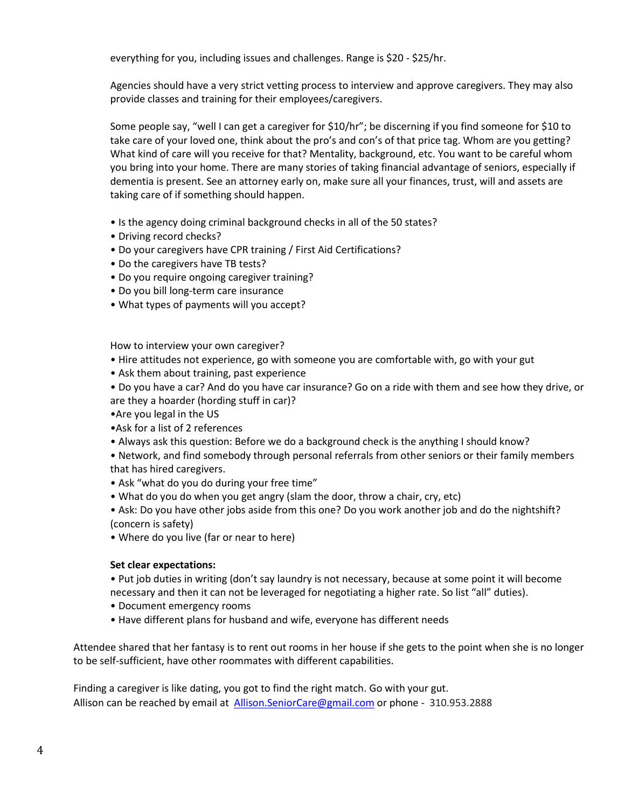everything for you, including issues and challenges. Range is \$20 - \$25/hr.

Agencies should have a very strict vetting process to interview and approve caregivers. They may also provide classes and training for their employees/caregivers.

Some people say, "well I can get a caregiver for \$10/hr"; be discerning if you find someone for \$10 to take care of your loved one, think about the pro's and con's of that price tag. Whom are you getting? What kind of care will you receive for that? Mentality, background, etc. You want to be careful whom you bring into your home. There are many stories of taking financial advantage of seniors, especially if dementia is present. See an attorney early on, make sure all your finances, trust, will and assets are taking care of if something should happen.

- Is the agency doing criminal background checks in all of the 50 states?
- Driving record checks?
- Do your caregivers have CPR training / First Aid Certifications?
- Do the caregivers have TB tests?
- Do you require ongoing caregiver training?
- Do you bill long-term care insurance
- What types of payments will you accept?

How to interview your own caregiver?

- Hire attitudes not experience, go with someone you are comfortable with, go with your gut
- Ask them about training, past experience
- Do you have a car? And do you have car insurance? Go on a ride with them and see how they drive, or are they a hoarder (hording stuff in car)?
- •Are you legal in the US
- •Ask for a list of 2 references
- Always ask this question: Before we do a background check is the anything I should know?
- Network, and find somebody through personal referrals from other seniors or their family members that has hired caregivers.
- Ask "what do you do during your free time"
- What do you do when you get angry (slam the door, throw a chair, cry, etc)
- Ask: Do you have other jobs aside from this one? Do you work another job and do the nightshift? (concern is safety)
- Where do you live (far or near to here)

#### **Set clear expectations:**

- Put job duties in writing (don't say laundry is not necessary, because at some point it will become necessary and then it can not be leveraged for negotiating a higher rate. So list "all" duties).
- Document emergency rooms
- Have different plans for husband and wife, everyone has different needs

Attendee shared that her fantasy is to rent out rooms in her house if she gets to the point when she is no longer to be self-sufficient, have other roommates with different capabilities.

Finding a caregiver is like dating, you got to find the right match. Go with your gut. Allison can be reached by email at [Allison.SeniorCare@gmail.com](mailto:Allison.SeniorCare@gmail.com) or phone - 310.953.2888